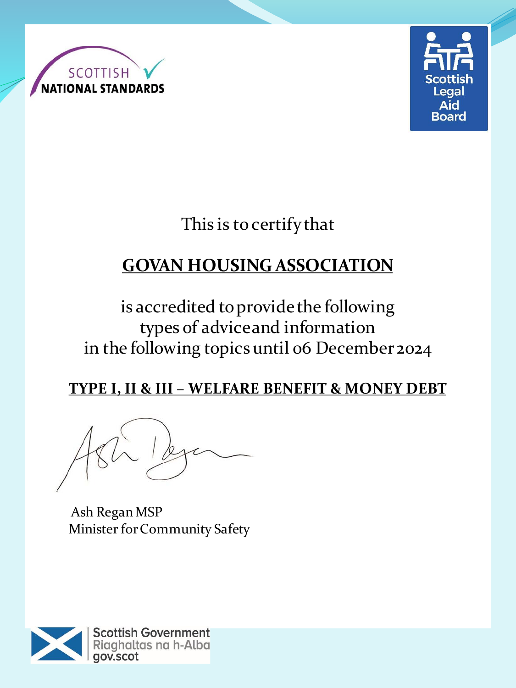



This is to certify that

# **GOVAN HOUSING ASSOCIATION**

is accredited to provide the following types of advice and information in the following topics until 06 December 2024

# **TYPE I, II & III – WELFARE BENEFIT & MONEY DEBT**

Ash Regan MSP Minister for Community Safety

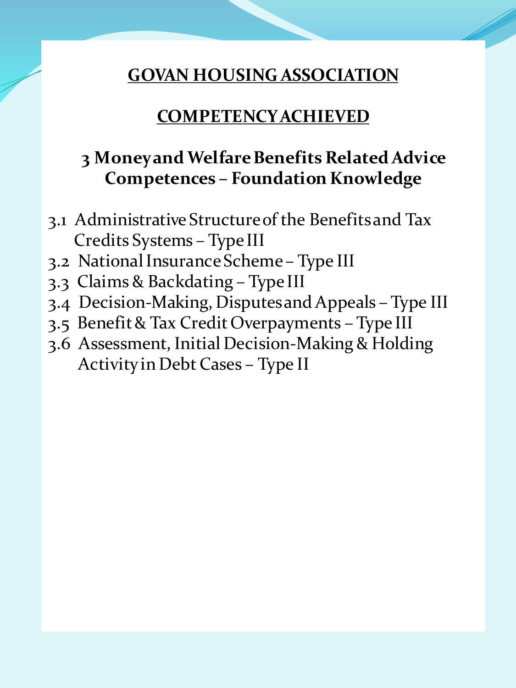# **COMPETENCY ACHIEVED**

# **3 Money and Welfare Benefits Related Advice Competences – Foundation Knowledge**

- 3.1 Administrative Structure of the Benefits and Tax Credits Systems – Type III
- 3.2 National Insurance Scheme Type III
- 3.3 Claims & Backdating Type III
- 3.4 Decision-Making, Disputes and Appeals Type III
- 3.5 Benefit & Tax Credit Overpayments Type III
- 3.6 Assessment, Initial Decision-Making & Holding Activity in Debt Cases – Type II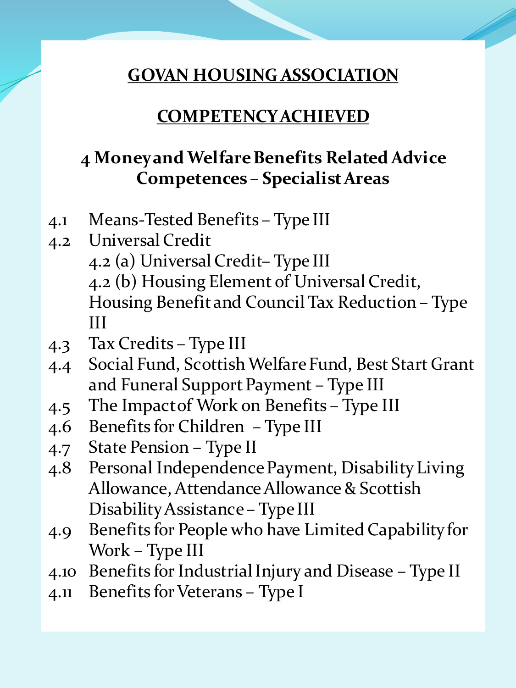#### **COMPETENCY ACHIEVED**

# **4 Money and Welfare Benefits Related Advice Competences – Specialist Areas**

- 4.1 Means-Tested Benefits Type III
- 4.2 Universal Credit 4.2 (a) Universal Credit– Type III 4.2 (b) Housing Element of Universal Credit, Housing Benefit and Council Tax Reduction – Type III
- 4.3 Tax Credits Type III
- 4.4 Social Fund, Scottish Welfare Fund, Best Start Grant and Funeral Support Payment – Type III
- 4.5 The Impact of Work on Benefits Type III
- 4.6 Benefits for Children Type III
- 4.7 State Pension Type II
- 4.8 Personal Independence Payment, Disability Living Allowance, Attendance Allowance & Scottish Disability Assistance – Type III
- 4.9 Benefits for People who have Limited Capability for Work – Type III
- 4.10 Benefits for Industrial Injury and Disease Type II
- 4.11 Benefits for Veterans Type I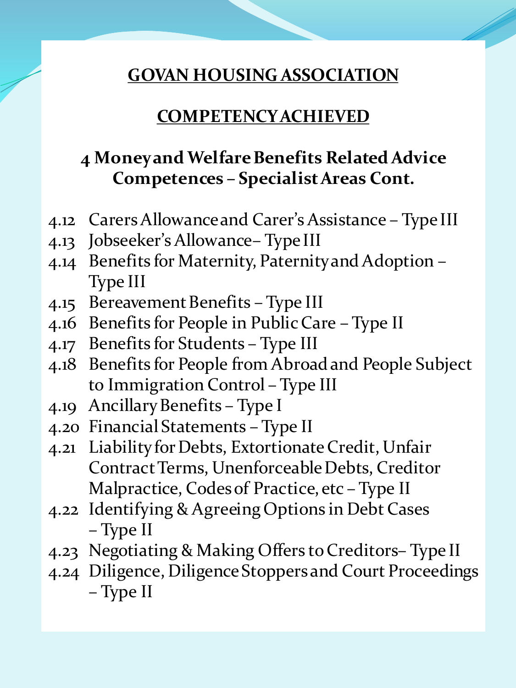#### **COMPETENCY ACHIEVED**

# **4 Money and Welfare Benefits Related Advice Competences – Specialist Areas Cont.**

- 4.12 Carers Allowance and Carer's Assistance Type III
- 4.13 Jobseeker's Allowance– Type III
- 4.14 Benefits for Maternity, Paternity and Adoption Type III
- 4.15 Bereavement Benefits Type III
- 4.16 Benefits for People in Public Care Type II
- 4.17 Benefits for Students Type III
- 4.18 Benefits for People from Abroad and People Subject to Immigration Control – Type III
- 4.19 Ancillary Benefits Type I
- 4.20 Financial Statements Type II
- 4.21 Liability for Debts, Extortionate Credit, Unfair Contract Terms, Unenforceable Debts, Creditor Malpractice, Codes of Practice, etc – Type II
- 4.22 Identifying & Agreeing Options in Debt Cases – Type II
- 4.23 Negotiating & Making Offers to Creditors– Type II
- 4.24 Diligence, Diligence Stoppers and Court Proceedings – Type II